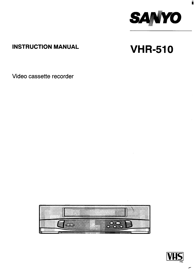

ii

# **INSTRUCTION MANUAL**

# VHR-510

Video cassette recorder



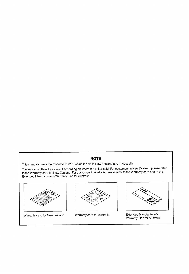# **NOTE**

This manual covers the model VHR-510, which is sold in New Zealand and in Australia.

The warranty offered is different according on where the unit is sold. For customers in New Zealand, please refer<br>to the Warranty card for New Zealand. For customers in Australia, please refer to the Warranty card and to t Extended Manufacturer's Warranty Plan for Australia.



Warranty card for New Zealand



Warranty card for Australia



**Extended Manufacturer's** Warranty Plan for Australia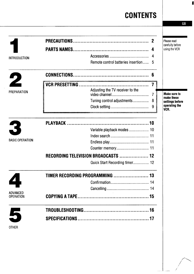# **CONTENTS**

 $\overline{\phantom{a}}$ 

**f' ,/**

|                                     |                                      | $\boldsymbol{2}$ | Please read<br>carefully before |
|-------------------------------------|--------------------------------------|------------------|---------------------------------|
|                                     |                                      |                  | using the VCR                   |
| <b>INTRODUCTION</b>                 |                                      |                  |                                 |
|                                     | Remote control batteries insertion 5 |                  |                                 |
|                                     |                                      | 6                |                                 |
|                                     |                                      |                  |                                 |
| PREPARATION                         | Adjusting the TV receiver to the     | $\overline{7}$   | <b>Make sure to</b>             |
|                                     | Tuning control adjustments           | 8                | make these<br>settings before   |
|                                     |                                      | 9                | operating the<br>VCR.           |
| $\rightarrow$                       |                                      |                  |                                 |
|                                     | Variable playback modes  10          |                  |                                 |
|                                     |                                      |                  |                                 |
| <b>BASIC OPERATION</b>              |                                      |                  |                                 |
|                                     |                                      |                  |                                 |
|                                     | RECORDING TELEVISION BROADCASTS  12  |                  |                                 |
|                                     | Quick Start Recording timer 12       |                  |                                 |
|                                     | TIMER RECORDING PROGRAMMING  13      |                  |                                 |
|                                     |                                      |                  |                                 |
|                                     |                                      |                  |                                 |
| <b>ADVANCED</b><br><b>OPERATION</b> |                                      |                  |                                 |
|                                     |                                      |                  |                                 |
| 5                                   |                                      |                  |                                 |
| <b>OTHER</b>                        |                                      |                  |                                 |

 $G$ B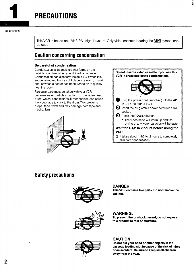# <span id="page-3-0"></span>**PRECAUTIONS**

**This VCR is based on a VHS-PAL signal system. Only video cassette bearing the ~ symbol can be used,**

# Caution concerning condensation

#### **Be careful of condensation**

Condensation is the moisture that forms on the outside of a glass when you fill it with cold water, Condensation can also form inside a VCR when it is suddenly moved from a cold place to a warm, humid one, or when a heater has been turned on to quickly heat the room,

Particular care must be taken with your VCR because water particles that form on the video head drum, which is the main VCR mechanism, can cause the video tape to stick to the drum, This prevents proper tape travel and may damage both tape and mechanism,





i

# Safety precautions



# **DANGER:**

**This VCR contains live parts. Do not remove the cabinet.**



#### **WARNING:**

To **prevent fire or shock hazard, do not expose this product to rain or moisture.**



## **CAUTION:**

**Do not put your hand or other objects in the cassette loading slot because of the risk of injury or an accident.** Be **sure to keep small children away from the VCR.**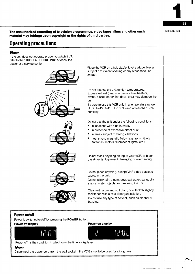**INTRODUCTION** 

**,A**

**\_—**

1'

 $GB$ 

**The unauthorized recording of television programmed, videotapes, fiims and other such materiai may infringe upon copyright or the rights of third parties.**

# Operating precautions

# **Note:**

If the unit does not operate properly, switch it off, refer to the "TROUBLESHOOTING" or consult a dealer or a service center.



**Power on/off**

**Note:**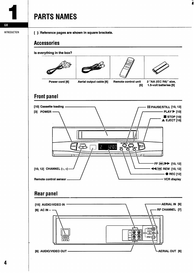# **PARTS NAMES**

**INTRODUCTION** 

<span id="page-5-0"></span> $GB$ 

[ ]: Reference pages are shown in square brackets.

# **Accessories**

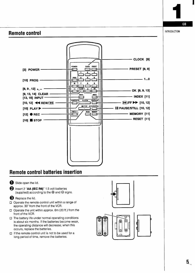<span id="page-6-0"></span>

GB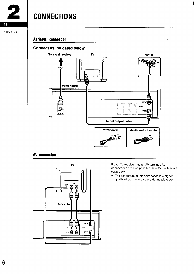<span id="page-7-0"></span>

# **CONNECT ONS**

### PREPARATION

# **Aerial/RF connection**

# **Connect as indicated below.**



# **AV connection**



If your TV receiver has an AV terminal, AV connections are also possible, The AV cable is sold separately.

ii

● The advantage of this connection is a higher quality of picture and sound during playback.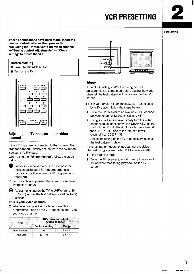# **VCR PRESETTING**



### **PREPARATION**

<span id="page-8-0"></span>**After all connections have been made, insert the remote control batteries then proceed to "Adjusting the TV receiver to the video channel"**  $\rightarrow$ "Tuning control adjustments" → "Clock **setting" to preset the VCR.**

### **Before starting**

- Press the POWER button.
- Turn on the TV.



# **Adjusting the TV receiver to the video channel -**

If the VCR has been connected to the TV using the "AV connection", simply set the TV to the AV mode. You can skip this step.

When using the "RF connection", follow the steps below,

- O Set your TV receiver to "VCR", "AV" or to the position designated for videorecorder use (usually a position where no TV programme is received),
- ❑ For more details, please refer to your TV receiver instruction manual.

Adjust the tuning on the TV to UHF channel 36  $(37 - 38)$  so that the test pattern (2 vertical bars) is clear.

### This Is **your video channel.**

**II** Whenever you play back a tape or watch a TV programme tuned on the VCR tuner, set the TV to your video channel.

| Area        | <b>RF converter output</b><br>(Video channel) |           |  |
|-------------|-----------------------------------------------|-----------|--|
|             | <b>Factory setting</b>                        | Range     |  |
| New Zealand | 36                                            | $32 - 41$ |  |
| Australia   | $37 - 38$                                     | $33 - 43$ |  |



# **Note:**

If the clock setting and/or the tuning control adjustments are completed before setting the video channel, the test pattern will not appear on the TV screen.

- $\square$  It in your area, UHF channel 36 (37 38) is used by a TV station, follow the steps below.
- 1 Tune the TV receiver to an available UHF channel between channel 32 and 41 (33 and 43).
- **2** Using a small screwdriver, slowly turn the video channel adjustment screw **"RF CHANNEL** on the back of the VCR, to the right for a higher channel than  $36(37-38)$  and to the left for a lower channel than 36 (37 – 38).

Adjust the tuning on the TV, if necessary, so that the test pattern is clear.

If the test pattern does not appear, set the video channel using a prerecorded VHS video cassette.

- 1 Play back the tape.
- 2 Tune the TV receiver to obtain clear pictures and sound while monitoring playback on the TV screen.

— —- --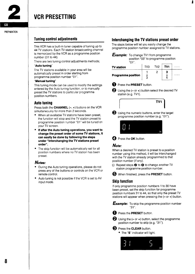<span id="page-9-0"></span>

# **Tuning control adjustments**

This VCR has a built-in tuner capable of tuning up to 44 TV stations. Each TV station broadcasting channel is memorized by the VCR as a programme position number (01 to 44).

There are two tuning control adjustments methods;

#### "Auto tuning"

The TV stations available in your area will be automatically preset in order starting from programme position number "01".

#### "Manual tuning"

This tuning mode can be used to modify the settings entered by the Auto tuning function, or to manually preset the TV stations to particular programme position numbers.

# **Auto tuning**

Press both the **CHANNEL**  $(-, +)$  buttons on the VCR simultaneously for more than 2 seconds.

- When all available TV stations have been preset, the function will stop and the TV station preset to programme position number "01" will be tuned on your TV screen.
- if after the Auto tuning operations, you want to **change the preset order of some TV stations, it can easily be done by foiiowing the steps under "interchanging the TV stations preset order".**
- The skip function will be automatically set for all position numbers where no TV station has been preset,

# **Notes:**

- During the Auto tuning operations, please do not press any of the buttons or controls on the VCR or remote control.
- Auto tuning is not possible if the VCR is set to AV input mode.

# **Interchanging the TV stations preset order**

The steps below will let you easily change the programme position number assigned to TV stations.

|            | <b>Example:</b> To change TV1 from programme<br>position "03" to programme position<br>"O1". |
|------------|----------------------------------------------------------------------------------------------|
| TV ototion | TV3 TV2   <b>TV1</b>                                                                         |

| <u>i v station</u>        | ט שו | 1 V 4 5 4 9 1 |   |
|---------------------------|------|---------------|---|
| <b>Programme position</b> |      |               | . |
|                           |      |               |   |



**Q** Press the **PRESET** button

|  | TV <sub>1</sub> |  |
|--|-----------------|--|
|  |                 |  |

**I**

Using the numeric buttons, enter the target programme position number (e.g. "01").



**C** Press the OK button.

# **Note:**

When a desired TV station is preset to a position number using this method, it will be interchanged with the TV station already programmed to that position number (if any).

□ Repeat steps <sup>●</sup> to ● to change another TV station programme position number.



# **Skip function**

If only programme position numbers 1 to 30 have been preset, set the skip function for programme position numbers 31 to 44, so that only the preset TV stations will appear when pressing the  $(-$  or  $+)$  button.

**Example:** To skip the programme position number "31".

**1** Press the PRESET button.



Using the  $(-$  or  $+)$  button, select the programme position number to skip (e.g. "31").

#### **B** Press the **CLEAR** button.

● The "S" indicator will light.



<sup>@</sup> Using the  $(-$  or  $+$ ) button select the desired TV station (e.g. TV1).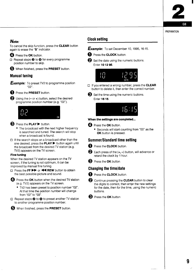GR

# PREPARATION

# <span id="page-10-0"></span>**Note:**

To cancel the skip function, press the **CLEAR** button again to erase the "S" indicator.

- **<sup>4</sup>** Press the OK button.
- □ Repeat steps <sup>2</sup> to <sup>0</sup> for every programme position number to skip.
- @ When finished, press the PRESET button.

# **Manual tuning**

**Example:** To preset TV2 to programme position **"02".**

**<sup>1</sup>** Press the PRESET button.

@ Using the (-or+) button, select the desired programme position number (e.g. "02").



#### **<sup>●</sup>** Press the **PLAY** ▶ button.

- The broadcast with the next higher frequency is searched and tuned. The search will stop when a broadcast is found.
- ❑ If the search stops on a broadcast other than the one desired, press the PLAY ► button again until the broadcast from the desired TV station (e.g. TV2) appears on the TV screen,

#### Fine tuning

When the desired TV station appears on the TV screen, if the tuning is not optimum, it can be improved by manual fine tuning.

❑ Press the FF ~ or - REW button to obtain the best possible picture and sound.



**2** Press the OK button when the desired TV station (e.g. TV2) appears on the TV screen.

- TV2 has been preset to position number "02". At that time the position number will change from "02" to "03".
- ❑ Repeat steps@ **to 0 to Preset another Tv station** to another programme position number.



 $\Theta$  When finished, press the **PRESET** button.

# **Clock setting**



- **the CLOCK** button.
	- Set the date using the numeric buttons. Enter **101295.**



- button to delete it, then enter the correct number.
- So Set the time using the numeric buttons. Enter **1615,**



#### **When the settings are completed...**

- $\bullet$  Press the OK button.
	- Seconds will start counting from "00" as the **OK** button is pressed.

### **Summer/Standard time setting**

- **<sup>1</sup>** Press the **CLOCK** button.
- $\bullet$  Each press of the  $(+,-)$  button, will advance or retard the clock by 1 hour.
- **8** Press the OK button

### **Changing the time/date**

**Q** Press the **CLOCK** button

- **Q** Continue pressing the **CLEAR** button to clear the digits to correct, then enter the new settings for the date, then for the time, using the numeric buttons.
- **Q** Press the **OK** button

**,**

—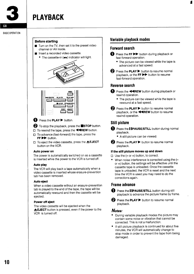<span id="page-11-0"></span>

# **PLAYBACK**

#### **BASIC OPERATION**

#### **Before starting**

- Turn on the TV, then set it to the preset video channel or AV mode.
- Insert a recorded video cassette.
	- $\bullet$  The cassette-in ( $\bullet\bullet$ ) indicator will light.





# ↑ Press the PLAY ▶ button.

**2** To stop the playback, press the **STOP** button.

- $\square$  To rewind the tape, press the **EXEW** button.
- ❑ To advance (fast-forward) the tape, press the  $FF$  button.
- □ To eject the video cassette, press the **▲EJECT** button on the VCR.

#### **Auto power on**

The power is automatically switched on as a cassette is inserted while the power to the VCR is turned off.

#### Auto **play**

The VCR will play back a tape automatically when a video cassette is inserted whose erasure-prevention tab has been removed.

#### Auto eject

When a video cassette without an erasure-prevention tab is played to the end of the tape, the tape will be automatically rewound and then the cassette will be ejected.

#### **Power off eject**

The video cassette will be ejected when the **EJECT** button is pressed, even if the power to the VCR is turned off.

# **Variable playback modes**

# **Forward search**

- **1** Press the FF  $\blacktriangleright$  button during playback or fast-forward operation.
	- The picture can be viewed while the tape is advanced at a fast speed.
- $\bullet$  Press the PLAY  $\triangleright$  button to resume normal playback, or the **FF W** button to resume fast-forward operation.

# **Reverse search**

- **1** Press the **44REW** button during playback or rewind operation.
	- The picture can be viewed while the tape is rewound at a fast speed.
- **2** Press the **PLAY** button to resume normal playback, or the **44REW** button to resume rewind operation.

# **Still picture**

- **O** Press the **[[PAUSE/STILL** button during normal playback.
	- A still picture can be viewed.
- @ Press the **PLAY>** button to resume normal playback.

#### **If the still picture moves up and down**

 $\Box$  Use the ( $\hbox{--}$  or  $\hbox{--}$ ) button, to correct

● When noise interference is corrected using the  $(-)$ or +) button, the settings will be effective until the cassette tape is unloaded. Once the cassette tape is unloaded, the VCR is reset and the next time the VCR is used you may need to do the corrections again.

# **Frame advance**

**6) Press the [ lPAUSE/STILL** button during still playback to advance the picture frame by frame.

**2** Press the **PLAY** button to resume normal playback.

# **Notes:**

- During variable playback modes the picture may contain some noise or vibration that cannot be corrected. This is not a malfunction.
- If still picture playback is continued for about five minutes, the VCR will automatically change to stop mode in order to prevent the tape from being damaged.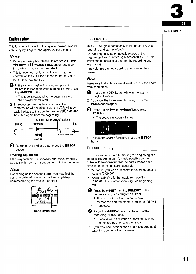GB

#### **BASIC OPERATION**

# <span id="page-12-0"></span>**Endless play**

This function will play back a tape to the end, rewind it then replay it again, and again until you stop it.

# **Notes:**

- During endless play, please do not press  $FF \blacktriangleright$ , **44 REW or II PAUSE/STILL button because** the endless play will be cancelled.
- This function can only be activated using the controls on the VCR itself. It cannot be activated from the remote control.
- $\Box$  in the stop or playback mode, first press the **PLAY** ► button then while holding it down press the **44REW** button.
	- The tape is rewound to the beginning and then playback will start.
- ❑ If the counter memory function is used in combination with endless play, the VCR will play back the tape to the counter reading  $"M$  0:00:00" then start again from the beginning



@ To cancel the endless play, press the ■**STOP** button.

### **Tracking adjustment**

If the playback picture shows interference, manually adjust it with the  $(- or +)$  button, to minimize the noise.

# **Note:**

Depending on the cassette tape, you may find that some noise interference cannot be completely corrected using the tracking controls.



**Noise interference**

# **Index search**

This VCR will go automatically to the beginning of a recording and start playback.

An index signal is automatically placed at the beginning of each recording made on this VCR. This index can be used to search for the recording you wish to watch.

Index signals are not recorded after a recording pause.

# **Note:**

Make sure that indexes are at least five minutes apart from each other.

- **1** Press the INDEX button while in the stop or playback mode.
- ❑ To cancel the index search mode, press the **INDEX** button again.
- @ Press the **FF ~** or **+REW** button (e.g. **FF H).**
	- The search function will start.



button.

# **Counter memory**

This convenient feature for finding the beginning of a specific recording etc., is made possible by the **"Linear Time Counter"** that indicates the tape run time in hours, minutes and seconds.

- Whenever you load a cassette tape, the counter is reset to "0:00:00".
- When rewinding further back from position "0:00:00", the counter shows figures beginning with "-".
- **D** Press the RESET then the MEMORY button before starting recording or playback.
	- The zero point of the counter is now memorized and the memory indicator " $M$ " will illuminate.
- **2** Press the **44REW** button at the end of the recording, or playback.
	- The tape will be rewound automatically to the memorized position and then stop.
- ❑ If you play back a blank tape or a blank portion of tape, the counter will not operate.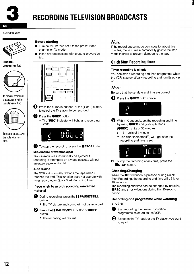<span id="page-13-0"></span>

# **RECORDING TELEVISION BROADCASTS**

**BASIC OPERATION** 



**Erasureprevention tab**



To prevent accidental erasure, remove the tab after recording.



To record again, cover the hole with vinyl tape.



- Turn on the TV then set it to the preset video channel or AV mode.
- Insert a video cassette with erasure-prevention tab.





 $\bullet$  Press the numeric buttons, or the  $(+)$  or  $-)$  button, to select the TV station to be recorded.

# $\bullet$  Press the  $\bullet$ REC button.

• The "REC" indicator will light, and recording starts.



**8** To stop the recording, press the **STOP** button.

## **Mis-erasure prevention eject**

The cassette will automatically be ejected if recording is attempted on a video cassette without an erasure-prevention tab.

## Auto rewind

The VCR automatically rewinds the tape when it reaches the end. This function does not operate with timer recording or Quick Start Recording timer.

# If you wish **to avoid recording unwanted material**

- **~** During recording, press the I I **PAUSE/STILL** button.
	- The TV picture and sound will not be recorded.
- **2** Press the **II PAUSE/STILL** button or **OREC** button.
	- The recording will resume.

# **Note:**

If the record pause mode continues for about five minutes, the VCR will automatically go into the stop mode in order to prevent damage to the tape.

# **Quick Start Recording timer**

# **Timer recording is simple.**

You can start a recording and then programme when the VCR is automatically recording and turn its power off.

# **Note:**

Be sure that the set date and time are correct.





- @ Within 10seconds, set the recording end time by using **●REC** and (+ or -) buttons.
	- **(@REC):** units of 30 minutes
	- $(+, -)$ : units of 1 minute
	- $\bullet$  The timer indicator ( $\boxdot$ ) will light after the recording end time is set.



**ESTOP** button.

# **Checking/Changing**

When the ●**REC** button is pressed during Quick Start Recording, the recording end time will blink for 10seconds.

The recording end time can be changed by pressing **OREC** and (+ or -) buttons during this 10-second period.

# **Recording one programme while watching another**



 $\bullet$  Start recording the desired TV station programme selected on the VCR.



Select on the TV receiver the TV station you want to watch.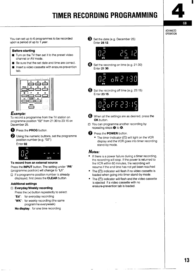# **TIMER RECORDING PROGRAMMING**



<span id="page-14-0"></span>You can set up to 6 programmes to be recorded upon a period of up to 1 year.

# **Before starting**

- Turn on the TV then set it to the preset video channel or **AV mode.**
- Be sure that the set date and time are correct.
- **E** Insert a video cassette with erasure-prevention tab,



# Example:

To record a programme from the TV station on programme position "02" from 21:30 to 23:15 on December 25.



~ Press the **PROG** button.

@ Using the numeric buttons, set the programme position number (e.g. "02")

Enter 02,



#### **To record from an external source**

Press the **INPUT** button. The setting under "PR" (programme position) will change to "L1".

□ If a programme position number is already displayed, first press the **CLEAR** button.

# **Additional settings**

# **•l EverydayAfteekly recording**

Press the (+) button repeatedly to select:

- **"Ed":** for everyday recording
- **"WK":** for weekly recording (the same programme everyweek)

No **display:** for one time recording

Set the date (e.g. December 25) Enter **2512.**



Ø Set the recording on time (e.g. 21 :30) Enter 21 30.



Set the recording off time (e.g. 23:15) Enter 2315.



- When all the settings are as desired, press the **OK** button.
- CI You can programme another recording by repeating steps  $\mathbf 0$  to  $\mathbf 0$ .
- Press the **POWER** button.
	- $\bullet$  The timer indicator ( $\Box$ ) will light on the VCR display and the VCR goes into timer recording stand-by mode.

# **Notes:**

- If there is a power failure during a timer recording, the recording will stop. If the power is returned to the VCR within 60 minutes, the recording will resume if the end time has not yet been reached
- The  $(\Box)$  indicator will flash if no video cassette is loaded when going into timer stand-by mode.
- The  $(\Box)$  indicator will flash and the video cassette is ejected if a video cassette with no erasure-prevention tab is loaded.

— — <del>— — — — — — — — —</del>

— **-1—**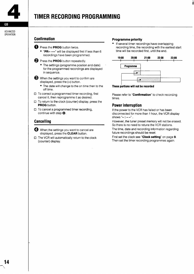# TIMER RECORDING PROGRAMMING

**ADVANCED OPERATION** 

<span id="page-15-0"></span>**GB** 

# **Confirmation**

- **t** Press the **PROG** button twice.
	- "PR-- ----" will be displayed first if less than 6 recordings have been programmed,
- **2** Press the **PROG** button repeatedly.
	- The settings (programme position and date) for the programmed recordings are displayed in sequence,
- **6** When the settings you want to confirm are displayed, press the (-) button.
	- The date will change to the on time then to the off time,
- ❑ To correct a programmed timer recording, first cancel it, then reprogramme it as desired.
- ❑ To return to the clock (counter) display, press the **PROG** button.
- ❑ To cancel a programmed timer recording, continue with step  $\mathbf{\odot}$ .

# **Canceling**

- **<sup>4</sup>** When the settings you want to cancel are displayed, press the **CLEAR** button.
- ❑ The VCR will automatically return to the clock (counter) display,

# **Programme priority**

If several timer recordings have overlapping recording time, the recording with the earliest start time will be recorded first, until the end.

i





Please refer to **"Confirmation"** to check recording times,

# **Power interruption**

If the power to the VCR has failed or has been disconnected for more than 1 hour, the VCR display shows " $-:-"$ .

However, the tuner preset memory will not be erased. So there is no need to retune the VCR stations,

The time, date and recording information regarding future recordings should be reset,

First set the clock see "Clock setting" on page 9. Then set the timer recording programmes again.

**–\**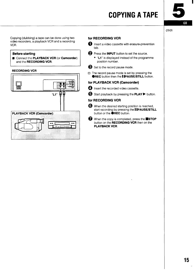# **COPYING A TAPE**

GB

OTHER

<span id="page-16-0"></span>Copying (dubbing) a tape can be done using two video recorders, a playback VCR and a recording VCR.

#### **Before starting**

**E** Connect the **PLAYBACK VCR** (or **Camcorder**) and the **RECORDING VCR**.

#### **RECORDING VCR**

~



# **for RECORDING VCR**

- **1** Insert a video cassette with erasure-prevention tab.
- **@** Press the **INPUT** button to set the source.
	- "L1" is displayed instead of the programme position number.
- $\bigodot$  Set to the record pause mode.
- ❑ The record pause mode is set by pressing the **OREC** button then the **I IPAUSE/STILL** button.

#### **for PLAYBACK VCR (Camcorder)**

- **<sup>4</sup>** Insert the recorded video cassette.
- $\bullet$  Start playback by pressing the PLAY  $\blacktriangleright$  button.

### **for RECORDING VCR**

- When the desired starting position is reached, start recording by pressing the **I IPAUSE/STILL** button or the **●REC** button.
	- When the copy is completed, press the **■STOP** button on the **RECORDING VCR** then on the PLAYBACK VCR.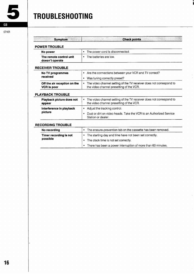<span id="page-17-0"></span>

# **TROUBLESHOOTING**

#### **OTHER**

| <b>Symptom</b>                                     | <b>Check points</b>                                                                                                  |  |  |
|----------------------------------------------------|----------------------------------------------------------------------------------------------------------------------|--|--|
| <b>POWER TROUBLE</b>                               |                                                                                                                      |  |  |
| No power                                           | The power cord is disconnected.<br>٠                                                                                 |  |  |
| The remote control unit<br>doesn't operate         | The batteries are low.<br>٠                                                                                          |  |  |
| <b>RECEIVER TROUBLE</b>                            |                                                                                                                      |  |  |
| No TV programmes                                   | Are the connections between your VCR and TV correct?<br>٠                                                            |  |  |
| received                                           | Was tuning correctly preset?<br>٠                                                                                    |  |  |
| Off the air reception on the<br><b>VCR is poor</b> | The video channel setting of the TV receiver does not correspond to<br>٠<br>the video channel presetting of the VCR. |  |  |
| <b>PLAYBACK TROUBLE</b>                            |                                                                                                                      |  |  |
| Playback picture does not<br>appear                | The video channel setting of the TV receiver does not correspond to<br>٠<br>the video channel presetting of the VCR. |  |  |
| Interference in playback                           | Adjust the tracking control.<br>٠                                                                                    |  |  |
| picture                                            | Dust or dirt on video heads. Take the VCR to an Authorized Service<br>$\bullet$<br>Station or dealer.                |  |  |
| <b>RECORDING TROUBLE</b>                           |                                                                                                                      |  |  |
| No recording                                       | The erasure-prevention tab on the cassette has been removed.<br>٠                                                    |  |  |
| Timer recording is not                             | The starting day and time have not been set correctly.<br>۰                                                          |  |  |
| possible                                           | The clock time is not set correctly.<br>٠                                                                            |  |  |
|                                                    | There has been a power interruption of more than 60 minutes.<br>$\bullet$                                            |  |  |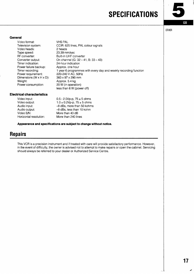# **SPECIFICATIONS**



OTHER

### <span id="page-18-0"></span>**General**

| Video format:                         | <b>VHS PAL</b>                                                   |
|---------------------------------------|------------------------------------------------------------------|
| Television system:                    | CCIR: 625 lines, PAL colour signals                              |
| Video heads:                          | 2 heads                                                          |
| Tape speed:                           | 23.39 mm/sec                                                     |
| RF converter:                         | Built-in UHF converter                                           |
| Converter output:                     | On channel (G: $32 - 41$ , B: $33 - 43$ )                        |
| Timer indication:                     | 24-hour indication                                               |
| Power failure backup:                 | Approx, one hour                                                 |
| Timer recording:                      | 1 year 6 programmes with every day and weekly recording function |
| Power requirement:                    | 220-240 V AC, 50Hz                                               |
| Dimensions ( $W \times H \times D$ ): | $360 \times 97 \times 290$ mm                                    |
| Weight:                               | Approx. 5.4 kg                                                   |
| Power consumption:                    | 20 W (in operation)                                              |
|                                       | less than 6 W (power off)                                        |

#### **Electrical characteristics**

| $0.5 - 2.0Vp-p$ , $75 \pm 5$ ohms   |
|-------------------------------------|
| $1.0 \pm 0.2$ Vp-p, 75 $\pm$ 5 ohms |
| -8 dBs, more than 50 kohms          |
| -8 dBs, less than 10 kohm           |
| More than 43 dB                     |
| More than 240 lines                 |
|                                     |

**Appearance and specifications are subject to change without notice.**

# **Repairs**

This VCR is a precision instrument and if treated with care will provide satisfactory performance. However, in the event of difficulty, the owner is advised not to attempt to make repairs or open the cabinet, Servicing should always be referred to your dealer or Authorized Service Centre.